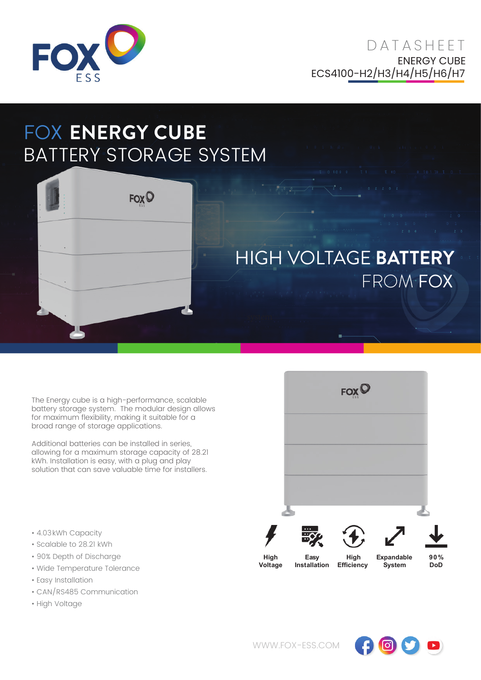

**DATASHEFT** ENERGY CUBE ECS4100-H2/H3/H4/H5/H6/H7

## FOX **ENERGY CUBE** BATTERY STORAGE SYSTEM



## HIGH VOLTAGE **BATTERY** FROM FOX

The Energy cube is a high-performance, scalable battery storage system. The modular design allows for maximum flexibility, making it suitable for a broad range of storage applications.

Additional batteries can be installed in series, allowing for a maximum storage capacity of 28.21 kWh. Installation is easy, with a plug and play solution that can save valuable time for installers.

- 4.03kWh Capacity
- Scalable to 28.21 kWh
- 90% Depth of Discharge
- Wide Temperature Tolerance
- Easy Installation
- CAN/RS485 Communication
- High Voltage